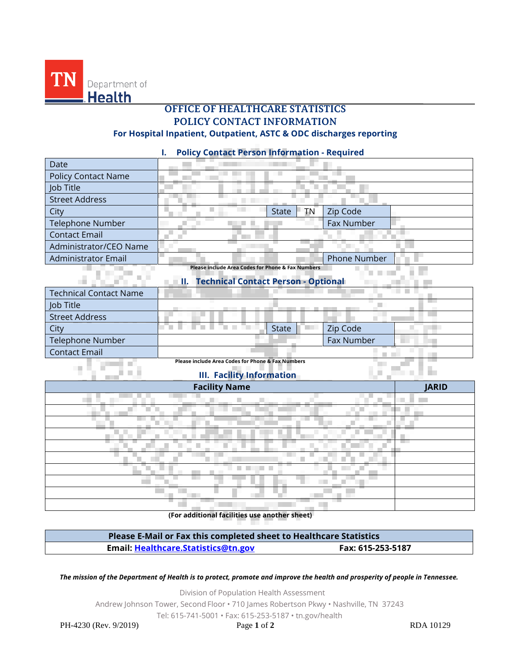

# **OFFICE OF HEALTHCARE STATISTICS POLICY CONTACT INFORMATION For Hospital Inpatient, Outpatient, ASTC & ODC discharges reporting**

### **I. Policy Contact Person Information - Required**

| Date                                                |                    |                     |  |  |  |
|-----------------------------------------------------|--------------------|---------------------|--|--|--|
| <b>Policy Contact Name</b>                          |                    |                     |  |  |  |
| Job Title                                           |                    |                     |  |  |  |
| <b>Street Address</b>                               |                    |                     |  |  |  |
| City                                                | <b>State</b><br>TN | Zip Code            |  |  |  |
| Telephone Number                                    |                    | Fax Number          |  |  |  |
| <b>Contact Email</b>                                |                    |                     |  |  |  |
| Administrator/CEO Name                              |                    |                     |  |  |  |
| <b>Administrator Email</b>                          |                    | <b>Phone Number</b> |  |  |  |
| Please include Area Codes for Phone & Fax Numbers   |                    |                     |  |  |  |
| <b>Technical Contact Person - Optional</b><br>11. L |                    |                     |  |  |  |

## **II. Technical Contact Person - Optional**

| Technical Contact Name |              |                   |  |
|------------------------|--------------|-------------------|--|
| Job Title              |              |                   |  |
| Street Address         |              |                   |  |
| City                   | <b>State</b> | Zip Code          |  |
| Telephone Number       |              | <b>Fax Number</b> |  |
| Contact Email          |              |                   |  |

**Please include Area Codes for Phone & Fax Numbers**

## **III. Facility Information**

| <b>Facility Name</b>                                             | <b>JARID</b>             |
|------------------------------------------------------------------|--------------------------|
| and the contract of the con-<br><b>Contract Contract</b><br>---- |                          |
|                                                                  |                          |
| ×                                                                |                          |
|                                                                  |                          |
|                                                                  | <b>Contract Contract</b> |
| <b>Contract</b>                                                  |                          |
| --<br>__<br><b>The State</b><br><b>Contract Contract</b>         | . .                      |
| $\sim$                                                           |                          |
|                                                                  |                          |
| <b>Contract Contract</b>                                         |                          |

**(For additional facilities use another sheet)**

**Please E-Mail or Fax this completed sheet to Healthcare Statistics Email: [Healthcare.Statistics@tn.gov](mailto:Healthcare.Statistics@tn.gov) Fax: 615-253-5187**

*The mission of the Department of Health is to protect, promote and improve the health and prosperity of people in Tennessee.*

Division of Population Health Assessment

Andrew Johnson Tower, Second Floor • 710 James Robertson Pkwy • Nashville, TN 37243

Tel: 615-741-5001 • Fax: 615-253-5187 • tn.gov/health

 $\mathcal{L}$ 

المتعاقب

ovena